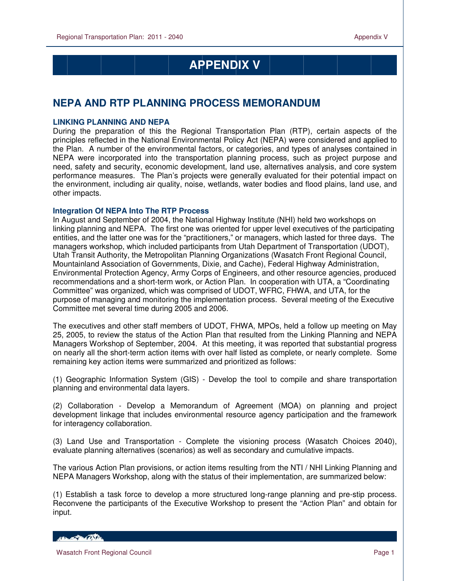## **APPENDIX V**

## **NEPA AND RTP PLANNING PROCESS MEMORANDUM**

## **LINKING PLANNING AND NEPA**

During the preparation of this the Regional Transportation Plan (RTP), certain aspects of the principles reflected in the National Environmental Policy Act (NEPA) were considered and applied to the Plan. A number of the environmental factors, or categories, and types of analyses contained in NEPA were incorporated into the transportation planning process, such as project purpose and need, safety and security, economic development, land use, alternatives analysis, and core system performance measures. The Plan's projects were generally evaluated for their potential impact on the environment, including air quality, noise, wetlands, water bodies and flood plains, land use, and other impacts.

## **Integration Of NEPA Into The RTP Process**

In August and September of 2004, the National Highway Institute (NHI) held two workshops on linking planning and NEPA. The first one was oriented for upper level executives of the participating entities, and the latter one was for the "practitioners," or managers, which lasted for three days. The managers workshop, which included participants from Utah Department of Transportation (UDOT), Utah Transit Authority, the Metropolitan Planning Organizations (Wasatch Front Regional Council, Mountainland Association of Governments, Dixie, and Cache), Federal Highway Administration, Environmental Protection Agency, Army Corps of Engineers, and other resource agencies, produced recommendations and a short-term work, or Action Plan. In cooperation with UTA, a "Coordinating Committee" was organized, which was comprised of UDOT, WFRC, FHWA, and UTA, for the purpose of managing and monitoring the implementation process. Several meeting of the Executive Committee met several time during 2005 and 2006.

The executives and other staff members of UDOT, FHWA, MPOs, held a follow up meeting on May 25, 2005, to review the status of the Action Plan that resulted from the Linking Planning and NEPA Managers Workshop of September, 2004. At this meeting, it was reported that substantial progress on nearly all the short-term action items with over half listed as complete, or nearly complete. Some remaining key action items were summarized and prioritized as follows:

(1) Geographic Information System (GIS) - Develop the tool to compile and share transportation planning and environmental data layers.

(2) Collaboration - Develop a Memorandum of Agreement (MOA) on planning and project development linkage that includes environmental resource agency participation and the framework for interagency collaboration.

(3) Land Use and Transportation - Complete the visioning process (Wasatch Choices 2040), evaluate planning alternatives (scenarios) as well as secondary and cumulative impacts.

The various Action Plan provisions, or action items resulting from the NTI / NHI Linking Planning and NEPA Managers Workshop, along with the status of their implementation, are summarized below:

(1) Establish a task force to develop a more structured long-range planning and pre-stip process. Reconvene the participants of the Executive Workshop to present the "Action Plan" and obtain for input.

HELL OF BALLASTIC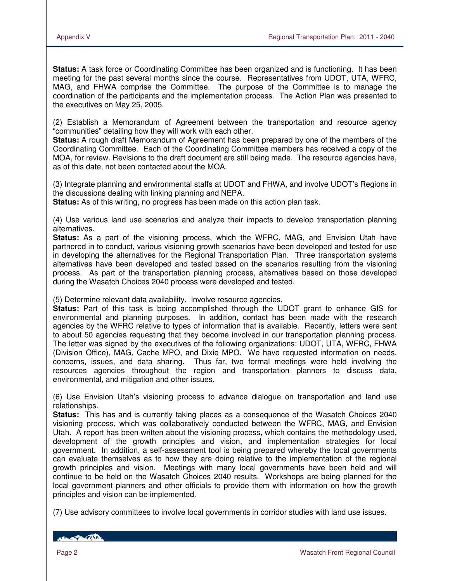**Status:** A task force or Coordinating Committee has been organized and is functioning. It has been meeting for the past several months since the course. Representatives from UDOT, UTA, WFRC, MAG, and FHWA comprise the Committee. The purpose of the Committee is to manage the coordination of the participants and the implementation process. The Action Plan was presented to the executives on May 25, 2005.

(2) Establish a Memorandum of Agreement between the transportation and resource agency "communities" detailing how they will work with each other.

**Status:** A rough draft Memorandum of Agreement has been prepared by one of the members of the Coordinating Committee. Each of the Coordinating Committee members has received a copy of the MOA, for review. Revisions to the draft document are still being made. The resource agencies have, as of this date, not been contacted about the MOA.

(3) Integrate planning and environmental staffs at UDOT and FHWA, and involve UDOT's Regions in the discussions dealing with linking planning and NEPA.

**Status:** As of this writing, no progress has been made on this action plan task.

(4) Use various land use scenarios and analyze their impacts to develop transportation planning alternatives.

**Status:** As a part of the visioning process, which the WFRC, MAG, and Envision Utah have partnered in to conduct, various visioning growth scenarios have been developed and tested for use in developing the alternatives for the Regional Transportation Plan. Three transportation systems alternatives have been developed and tested based on the scenarios resulting from the visioning process. As part of the transportation planning process, alternatives based on those developed during the Wasatch Choices 2040 process were developed and tested.

(5) Determine relevant data availability. Involve resource agencies.

**Status:** Part of this task is being accomplished through the UDOT grant to enhance GIS for environmental and planning purposes. In addition, contact has been made with the research agencies by the WFRC relative to types of information that is available. Recently, letters were sent to about 50 agencies requesting that they become involved in our transportation planning process. The letter was signed by the executives of the following organizations: UDOT, UTA, WFRC, FHWA (Division Office), MAG, Cache MPO, and Dixie MPO. We have requested information on needs, concerns, issues, and data sharing. Thus far, two formal meetings were held involving the resources agencies throughout the region and transportation planners to discuss data, environmental, and mitigation and other issues.

(6) Use Envision Utah's visioning process to advance dialogue on transportation and land use relationships.

**Status:** This has and is currently taking places as a consequence of the Wasatch Choices 2040 visioning process, which was collaboratively conducted between the WFRC, MAG, and Envision Utah. A report has been written about the visioning process, which contains the methodology used, development of the growth principles and vision, and implementation strategies for local government. In addition, a self-assessment tool is being prepared whereby the local governments can evaluate themselves as to how they are doing relative to the implementation of the regional growth principles and vision. Meetings with many local governments have been held and will continue to be held on the Wasatch Choices 2040 results. Workshops are being planned for the local government planners and other officials to provide them with information on how the growth principles and vision can be implemented.

(7) Use advisory committees to involve local governments in corridor studies with land use issues.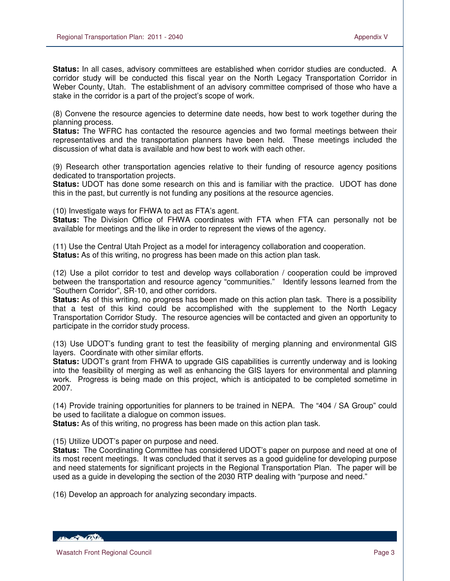**Status:** In all cases, advisory committees are established when corridor studies are conducted. A corridor study will be conducted this fiscal year on the North Legacy Transportation Corridor in Weber County, Utah. The establishment of an advisory committee comprised of those who have a stake in the corridor is a part of the project's scope of work.

(8) Convene the resource agencies to determine date needs, how best to work together during the planning process.

**Status:** The WFRC has contacted the resource agencies and two formal meetings between their representatives and the transportation planners have been held. These meetings included the discussion of what data is available and how best to work with each other.

(9) Research other transportation agencies relative to their funding of resource agency positions dedicated to transportation projects.

**Status:** UDOT has done some research on this and is familiar with the practice. UDOT has done this in the past, but currently is not funding any positions at the resource agencies.

(10) Investigate ways for FHWA to act as FTA's agent.

**Status:** The Division Office of FHWA coordinates with FTA when FTA can personally not be available for meetings and the like in order to represent the views of the agency.

(11) Use the Central Utah Project as a model for interagency collaboration and cooperation. **Status:** As of this writing, no progress has been made on this action plan task.

(12) Use a pilot corridor to test and develop ways collaboration / cooperation could be improved between the transportation and resource agency "communities." Identify lessons learned from the "Southern Corridor", SR-10, and other corridors.

**Status:** As of this writing, no progress has been made on this action plan task. There is a possibility that a test of this kind could be accomplished with the supplement to the North Legacy Transportation Corridor Study. The resource agencies will be contacted and given an opportunity to participate in the corridor study process.

(13) Use UDOT's funding grant to test the feasibility of merging planning and environmental GIS layers. Coordinate with other similar efforts.

**Status:** UDOT's grant from FHWA to upgrade GIS capabilities is currently underway and is looking into the feasibility of merging as well as enhancing the GIS layers for environmental and planning work. Progress is being made on this project, which is anticipated to be completed sometime in 2007.

(14) Provide training opportunities for planners to be trained in NEPA. The "404 / SA Group" could be used to facilitate a dialogue on common issues.

**Status:** As of this writing, no progress has been made on this action plan task.

(15) Utilize UDOT's paper on purpose and need.

**Status:** The Coordinating Committee has considered UDOT's paper on purpose and need at one of its most recent meetings. It was concluded that it serves as a good guideline for developing purpose and need statements for significant projects in the Regional Transportation Plan. The paper will be used as a guide in developing the section of the 2030 RTP dealing with "purpose and need."

(16) Develop an approach for analyzing secondary impacts.

HEL POLITIC